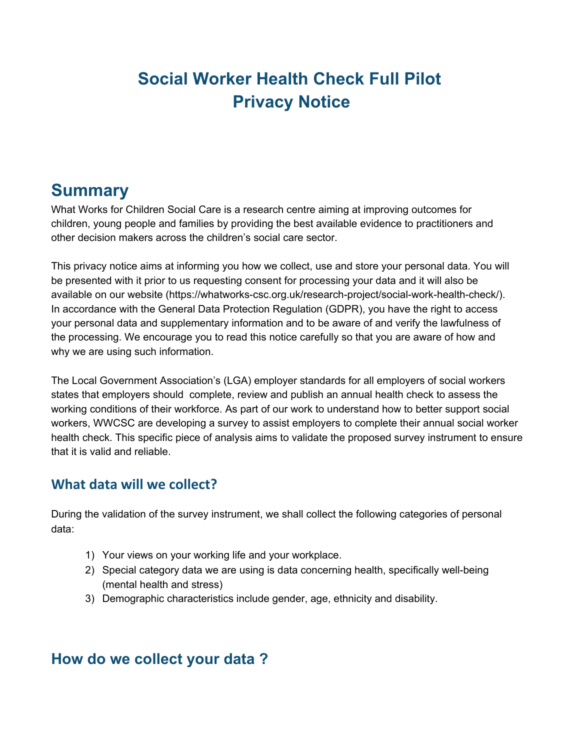# **Social Worker Health Check Full Pilot Privacy Notice**

## **Summary**

What Works for Children Social Care is a research centre aiming at improving outcomes for children, young people and families by providing the best available evidence to practitioners and other decision makers across the children's social care sector.

This privacy notice aims at informing you how we collect, use and store your personal data. You will be presented with it prior to us requesting consent for processing your data and it will also be available on our website (https://whatworks-csc.org.uk/research-project/social-work-health-check/). In accordance with the General Data Protection Regulation (GDPR), you have the right to access your personal data and supplementary information and to be aware of and verify the lawfulness of the processing. We encourage you to read this notice carefully so that you are aware of how and why we are using such information.

The Local Government Association's (LGA) employer standards for all employers of social workers states that employers should complete, review and publish an annual health check to assess the working conditions of their workforce. As part of our work to understand how to better support social workers, WWCSC are developing a survey to assist employers to complete their annual social worker health check. This specific piece of analysis aims to validate the proposed survey instrument to ensure that it is valid and reliable.

#### **What data will we collect?**

During the validation of the survey instrument, we shall collect the following categories of personal data:

- 1) Your views on your working life and your workplace.
- 2) Special category data we are using is data concerning health, specifically well-being (mental health and stress)
- 3) Demographic characteristics include gender, age, ethnicity and disability.

#### **How do we collect your data ?**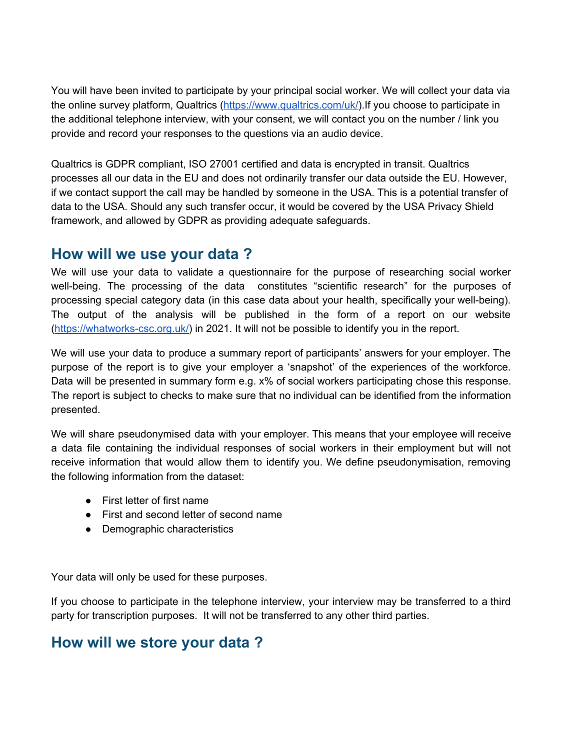You will have been invited to participate by your principal social worker. We will collect your data via the online survey platform, Qualtrics [\(https://www.qualtrics.com/uk/\)](https://www.qualtrics.com/uk/).If you choose to participate in the additional telephone interview, with your consent, we will contact you on the number / link you provide and record your responses to the questions via an audio device.

Qualtrics is GDPR compliant, ISO 27001 certified and data is encrypted in transit. Qualtrics processes all our data in the EU and does not ordinarily transfer our data outside the EU. However, if we contact support the call may be handled by someone in the USA. This is a potential transfer of data to the USA. Should any such transfer occur, it would be covered by the USA Privacy Shield framework, and allowed by GDPR as providing adequate safeguards.

#### **How will we use your data ?**

We will use your data to validate a questionnaire for the purpose of researching social worker well-being. The processing of the data constitutes "scientific research" for the purposes of processing special category data (in this case data about your health, specifically your well-being). The output of the analysis will be published in the form of a report on our website ([https://whatworks-csc.org.uk/\)](https://whatworks-csc.org.uk/) in 2021. It will not be possible to identify you in the report.

We will use your data to produce a summary report of participants' answers for your employer. The purpose of the report is to give your employer a 'snapshot' of the experiences of the workforce. Data will be presented in summary form e.g. x% of social workers participating chose this response. The report is subject to checks to make sure that no individual can be identified from the information presented.

We will share pseudonymised data with your employer. This means that your employee will receive a data file containing the individual responses of social workers in their employment but will not receive information that would allow them to identify you. We define pseudonymisation, removing the following information from the dataset:

- First letter of first name
- First and second letter of second name
- Demographic characteristics

Your data will only be used for these purposes.

If you choose to participate in the telephone interview, your interview may be transferred to a third party for transcription purposes. It will not be transferred to any other third parties.

#### **How will we store your data ?**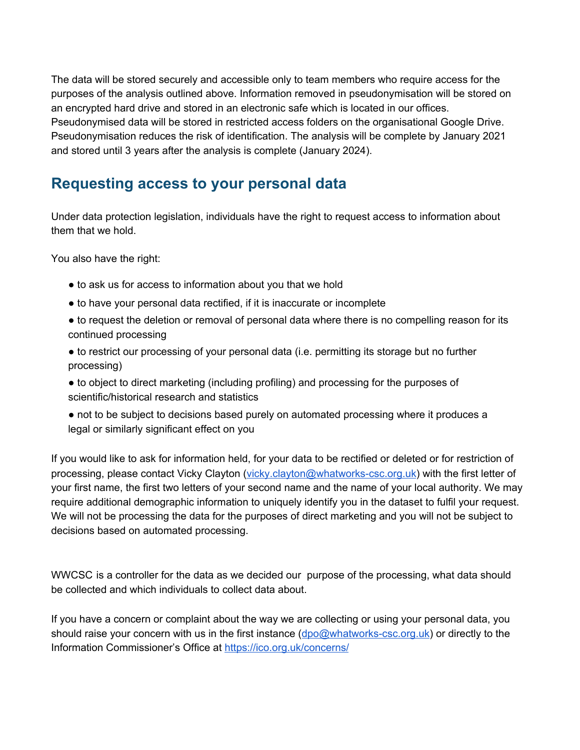The data will be stored securely and accessible only to team members who require access for the purposes of the analysis outlined above. Information removed in pseudonymisation will be stored on an encrypted hard drive and stored in an electronic safe which is located in our offices. Pseudonymised data will be stored in restricted access folders on the organisational Google Drive. Pseudonymisation reduces the risk of identification. The analysis will be complete by January 2021 and stored until 3 years after the analysis is complete (January 2024).

#### **Requesting access to your personal data**

Under data protection legislation, individuals have the right to request access to information about them that we hold.

You also have the right:

- to ask us for access to information about you that we hold
- to have your personal data rectified, if it is inaccurate or incomplete
- to request the deletion or removal of personal data where there is no compelling reason for its continued processing
- to restrict our processing of your personal data (i.e. permitting its storage but no further processing)
- to object to direct marketing (including profiling) and processing for the purposes of scientific/historical research and statistics
- not to be subject to decisions based purely on automated processing where it produces a legal or similarly significant effect on you

If you would like to ask for information held, for your data to be rectified or deleted or for restriction of processing, please contact Vicky Clayton [\(vicky.clayton@whatworks-csc.org.uk\)](mailto:vicky.clayton@whatworks-csc.org.uk) with the first letter of your first name, the first two letters of your second name and the name of your local authority. We may require additional demographic information to uniquely identify you in the dataset to fulfil your request. We will not be processing the data for the purposes of direct marketing and you will not be subject to decisions based on automated processing.

WWCSC is a controller for the data as we decided our purpose of the processing, what data should be collected and which individuals to collect data about.

If you have a concern or complaint about the way we are collecting or using your personal data, you should raise your concern with us in the first instance ([dpo@whatworks-csc.org.uk\)](mailto:dataprotectionofficer@whatworks-csc.org.uk) or directly to the Information Commissioner's Office at <https://ico.org.uk/concerns/>